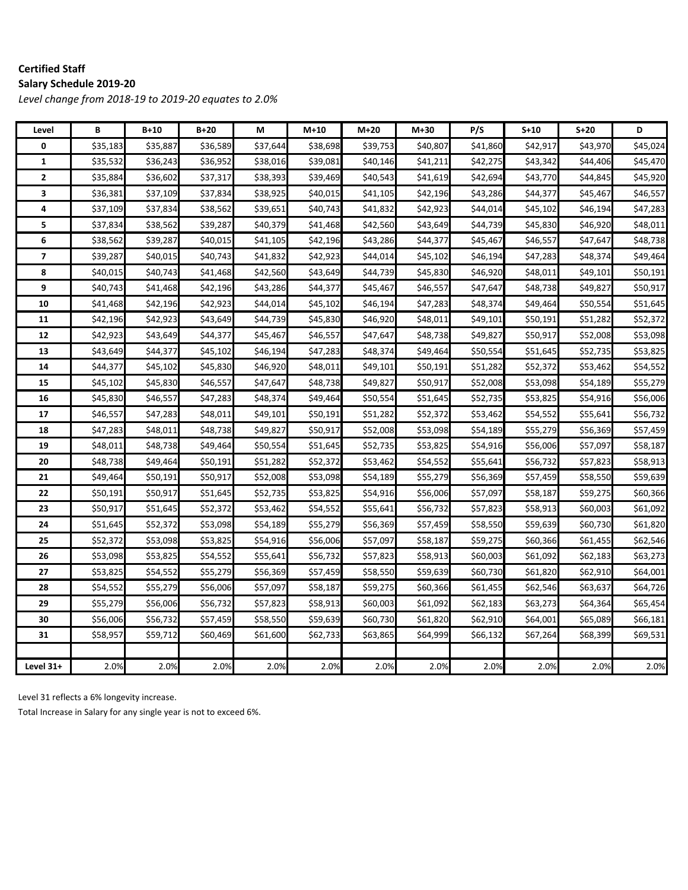#### **Certified Staff Salary Schedule 2019‐20**

*Level change from 2018‐19 to 2019‐20 equates to 2.0%*

| Level                   | B        | $B+10$   | $B+20$   | М        | $M+10$   | $M+20$   | $M+30$   | P/S      | $S+10$   | $S+20$   | D        |
|-------------------------|----------|----------|----------|----------|----------|----------|----------|----------|----------|----------|----------|
| 0                       | \$35,183 | \$35,887 | \$36,589 | \$37,644 | \$38,698 | \$39,753 | \$40,807 | \$41,860 | \$42,917 | \$43,970 | \$45,024 |
| $\mathbf{1}$            | \$35,532 | \$36,243 | \$36,952 | \$38,016 | \$39,081 | \$40,146 | \$41,211 | \$42,275 | \$43,342 | \$44,406 | \$45,470 |
| $\overline{2}$          | \$35,884 | \$36,602 | \$37,317 | \$38,393 | \$39,469 | \$40,543 | \$41,619 | \$42,694 | \$43,770 | \$44,845 | \$45,920 |
| 3                       | \$36,381 | \$37,109 | \$37,834 | \$38,925 | \$40,015 | \$41,105 | \$42,196 | \$43,286 | \$44,377 | \$45,467 | \$46,557 |
| 4                       | \$37,109 | \$37,834 | \$38,562 | \$39,651 | \$40,743 | \$41,832 | \$42,923 | \$44,014 | \$45,102 | \$46,194 | \$47,283 |
| 5                       | \$37,834 | \$38,562 | \$39,287 | \$40,379 | \$41,468 | \$42,560 | \$43,649 | \$44,739 | \$45,830 | \$46,920 | \$48,011 |
| 6                       | \$38,562 | \$39,287 | \$40,015 | \$41,105 | \$42,196 | \$43,286 | \$44,377 | \$45,467 | \$46,557 | \$47,647 | \$48,738 |
| $\overline{\mathbf{z}}$ | \$39,287 | \$40,015 | \$40,743 | \$41,832 | \$42,923 | \$44,014 | \$45,102 | \$46,194 | \$47,283 | \$48,374 | \$49,464 |
| 8                       | \$40,015 | \$40,743 | \$41,468 | \$42,560 | \$43,649 | \$44,739 | \$45,830 | \$46,920 | \$48,011 | \$49,101 | \$50,191 |
| 9                       | \$40,743 | \$41,468 | \$42,196 | \$43,286 | \$44,377 | \$45,467 | \$46,557 | \$47,647 | \$48,738 | \$49,827 | \$50,917 |
| 10                      | \$41,468 | \$42,196 | \$42,923 | \$44,014 | \$45,102 | \$46,194 | \$47,283 | \$48,374 | \$49,464 | \$50,554 | \$51,645 |
| 11                      | \$42,196 | \$42,923 | \$43,649 | \$44,739 | \$45,830 | \$46,920 | \$48,011 | \$49,101 | \$50,191 | \$51,282 | \$52,372 |
| 12                      | \$42,923 | \$43,649 | \$44,377 | \$45,467 | \$46,557 | \$47,647 | \$48,738 | \$49,827 | \$50,917 | \$52,008 | \$53,098 |
| 13                      | \$43,649 | \$44,377 | \$45,102 | \$46,194 | \$47,283 | \$48,374 | \$49,464 | \$50,554 | \$51,645 | \$52,735 | \$53,825 |
| 14                      | \$44,377 | \$45,102 | \$45,830 | \$46,920 | \$48,011 | \$49,101 | \$50,191 | \$51,282 | \$52,372 | \$53,462 | \$54,552 |
| 15                      | \$45,102 | \$45,830 | \$46,557 | \$47,647 | \$48,738 | \$49,827 | \$50,917 | \$52,008 | \$53,098 | \$54,189 | \$55,279 |
| 16                      | \$45,830 | \$46,557 | \$47,283 | \$48,374 | \$49,464 | \$50,554 | \$51,645 | \$52,735 | \$53,825 | \$54,916 | \$56,006 |
| 17                      | \$46,557 | \$47,283 | \$48,011 | \$49,101 | \$50,191 | \$51,282 | \$52,372 | \$53,462 | \$54,552 | \$55,641 | \$56,732 |
| 18                      | \$47,283 | \$48,011 | \$48,738 | \$49,827 | \$50,917 | \$52,008 | \$53,098 | \$54,189 | \$55,279 | \$56,369 | \$57,459 |
| 19                      | \$48,011 | \$48,738 | \$49,464 | \$50,554 | \$51,645 | \$52,735 | \$53,825 | \$54,916 | \$56,006 | \$57,097 | \$58,187 |
| 20                      | \$48,738 | \$49,464 | \$50,191 | \$51,282 | \$52,372 | \$53,462 | \$54,552 | \$55,641 | \$56,732 | \$57,823 | \$58,913 |
| 21                      | \$49,464 | \$50,191 | \$50,917 | \$52,008 | \$53,098 | \$54,189 | \$55,279 | \$56,369 | \$57,459 | \$58,550 | \$59,639 |
| 22                      | \$50,191 | \$50,917 | \$51,645 | \$52,735 | \$53,825 | \$54,916 | \$56,006 | \$57,097 | \$58,187 | \$59,275 | \$60,366 |
| 23                      | \$50,917 | \$51,645 | \$52,372 | \$53,462 | \$54,552 | \$55,641 | \$56,732 | \$57,823 | \$58,913 | \$60,003 | \$61,092 |
| 24                      | \$51,645 | \$52,372 | \$53,098 | \$54,189 | \$55,279 | \$56,369 | \$57,459 | \$58,550 | \$59,639 | \$60,730 | \$61,820 |
| 25                      | \$52,372 | \$53,098 | \$53,825 | \$54,916 | \$56,006 | \$57,097 | \$58,187 | \$59,275 | \$60,366 | \$61,455 | \$62,546 |
| 26                      | \$53,098 | \$53,825 | \$54,552 | \$55,641 | \$56,732 | \$57,823 | \$58,913 | \$60,003 | \$61,092 | \$62,183 | \$63,273 |
| 27                      | \$53,825 | \$54,552 | \$55,279 | \$56,369 | \$57,459 | \$58,550 | \$59,639 | \$60,730 | \$61,820 | \$62,910 | \$64,001 |
| 28                      | \$54,552 | \$55,279 | \$56,006 | \$57,097 | \$58,187 | \$59,275 | \$60,366 | \$61,455 | \$62,546 | \$63,637 | \$64,726 |
| 29                      | \$55,279 | \$56,006 | \$56,732 | \$57,823 | \$58,913 | \$60,003 | \$61,092 | \$62,183 | \$63,273 | \$64,364 | \$65,454 |
| 30                      | \$56,006 | \$56,732 | \$57,459 | \$58,550 | \$59,639 | \$60,730 | \$61,820 | \$62,910 | \$64,001 | \$65,089 | \$66,181 |
| 31                      | \$58,957 | \$59,712 | \$60,469 | \$61,600 | \$62,733 | \$63,865 | \$64,999 | \$66,132 | \$67,264 | \$68,399 | \$69,531 |
|                         |          |          |          |          |          |          |          |          |          |          |          |
| Level 31+               | 2.0%     | 2.0%     | 2.0%     | 2.0%     | 2.0%     | 2.0%     | 2.0%     | 2.0%     | 2.0%     | 2.0%     | 2.0%     |

Level 31 reflects a 6% longevity increase.

Total Increase in Salary for any single year is not to exceed 6%.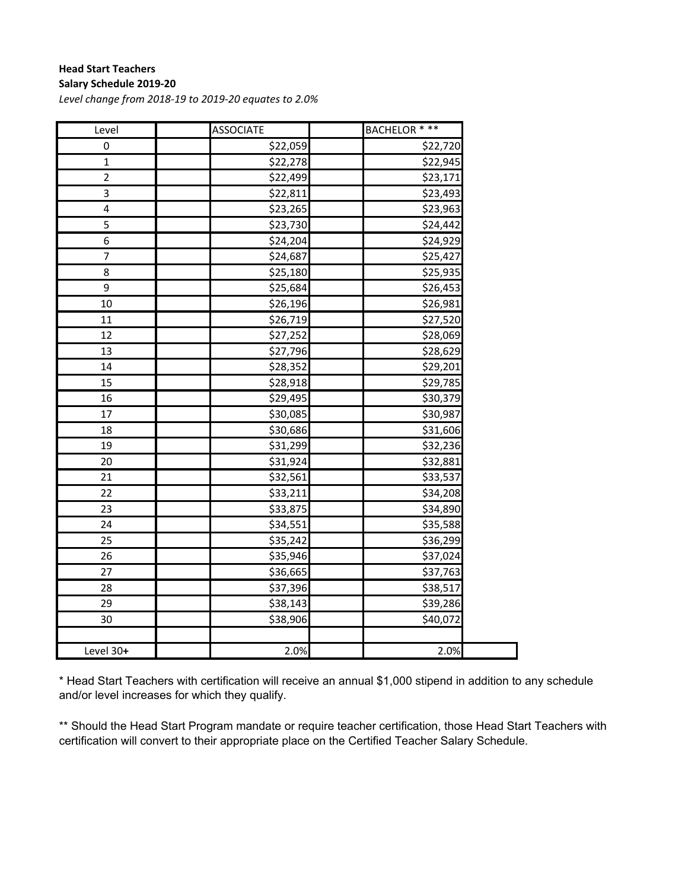#### **Head Start Teachers Salary Schedule 2019‐20**

*Level change from 2018‐19 to 2019‐20 equates to 2.0%*

| Level          | <b>ASSOCIATE</b> | BACHELOR * ** |
|----------------|------------------|---------------|
| 0              | \$22,059         | \$22,720      |
| $\mathbf{1}$   | \$22,278         | \$22,945      |
| $\mathbf 2$    | \$22,499         | \$23,171      |
| 3              | \$22,811         | \$23,493      |
| 4              | \$23,265         | \$23,963      |
| 5              | \$23,730         | \$24,442      |
| 6              | \$24,204         | \$24,929      |
| $\overline{7}$ | \$24,687         | \$25,427      |
| 8              | \$25,180         | \$25,935      |
| 9              | \$25,684         | \$26,453      |
| 10             | \$26,196         | \$26,981      |
| 11             | \$26,719         | \$27,520      |
| 12             | \$27,252         | \$28,069      |
| 13             | \$27,796         | \$28,629      |
| 14             | \$28,352         | \$29,201      |
| 15             | \$28,918         | \$29,785      |
| 16             | \$29,495         | \$30,379      |
| 17             | \$30,085         | \$30,987      |
| 18             | \$30,686         | \$31,606      |
| 19             | \$31,299         | \$32,236      |
| 20             | \$31,924         | \$32,881      |
| 21             | \$32,561         | \$33,537      |
| 22             | \$33,211         | \$34,208      |
| 23             | \$33,875         | \$34,890      |
| 24             | \$34,551         | \$35,588      |
| 25             | \$35,242         | \$36,299      |
| 26             | \$35,946         | \$37,024      |
| 27             | \$36,665         | \$37,763      |
| 28             | \$37,396         | \$38,517      |
| 29             | \$38,143         | \$39,286      |
| 30             | \$38,906         | \$40,072      |
| Level 30+      | 2.0%             | 2.0%          |

\* Head Start Teachers with certification will receive an annual \$1,000 stipend in addition to any schedule and/or level increases for which they qualify.

\*\* Should the Head Start Program mandate or require teacher certification, those Head Start Teachers with certification will convert to their appropriate place on the Certified Teacher Salary Schedule.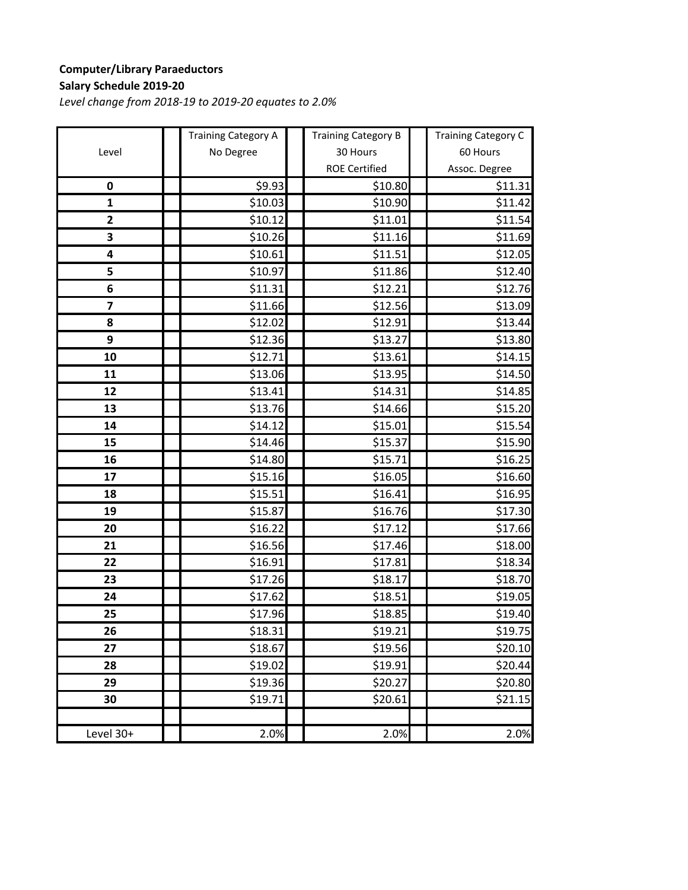### **Computer/Library Paraeductors Salary Schedule 2019‐20**

|                         | <b>Training Category A</b> | <b>Training Category B</b> | <b>Training Category C</b> |
|-------------------------|----------------------------|----------------------------|----------------------------|
| Level                   | No Degree                  | 30 Hours                   | 60 Hours                   |
|                         |                            | <b>ROE Certified</b>       | Assoc. Degree              |
| $\pmb{0}$               | \$9.93                     | \$10.80                    | \$11.31                    |
| $\mathbf{1}$            | \$10.03                    | \$10.90                    | \$11.42                    |
| $\overline{\mathbf{c}}$ | \$10.12                    | \$11.01                    | \$11.54                    |
| 3                       | \$10.26                    | \$11.16                    | \$11.69                    |
| 4                       | \$10.61                    | \$11.51                    | \$12.05                    |
| 5                       | \$10.97                    | \$11.86                    | \$12.40                    |
| 6                       | \$11.31                    | \$12.21                    | \$12.76                    |
| $\overline{\mathbf{z}}$ | \$11.66                    | \$12.56                    | \$13.09                    |
| 8                       | \$12.02                    | \$12.91                    | \$13.44                    |
| 9                       | \$12.36                    | \$13.27                    | \$13.80                    |
| 10                      | \$12.71                    | \$13.61                    | \$14.15                    |
| 11                      | \$13.06                    | \$13.95                    | \$14.50                    |
| 12                      | \$13.41                    | \$14.31                    | \$14.85                    |
| 13                      | \$13.76                    | \$14.66                    | \$15.20                    |
| 14                      | \$14.12                    | \$15.01                    | \$15.54                    |
| 15                      | \$14.46                    | \$15.37                    | \$15.90                    |
| 16                      | \$14.80                    | \$15.71                    | \$16.25                    |
| 17                      | \$15.16                    | \$16.05                    | \$16.60                    |
| 18                      | \$15.51                    | \$16.41                    | \$16.95                    |
| 19                      | \$15.87                    | \$16.76                    | \$17.30                    |
| 20                      | \$16.22                    | \$17.12                    | \$17.66                    |
| 21                      | \$16.56                    | \$17.46                    | \$18.00                    |
| 22                      | \$16.91                    | \$17.81                    | \$18.34                    |
| 23                      | \$17.26                    | \$18.17                    | \$18.70                    |
| 24                      | \$17.62                    | \$18.51                    | \$19.05                    |
| 25                      | \$17.96                    | \$18.85                    | \$19.40                    |
| 26                      | \$18.31                    | <b>\$19.21</b>             | \$19.75                    |
| 27                      | \$18.67                    | \$19.56                    | \$20.10                    |
| 28                      | \$19.02                    | \$19.91                    | \$20.44                    |
| 29                      | \$19.36                    | \$20.27                    | \$20.80                    |
| 30                      | \$19.71                    | \$20.61                    | \$21.15                    |
| Level 30+               | 2.0%                       | 2.0%                       | 2.0%                       |
|                         |                            |                            |                            |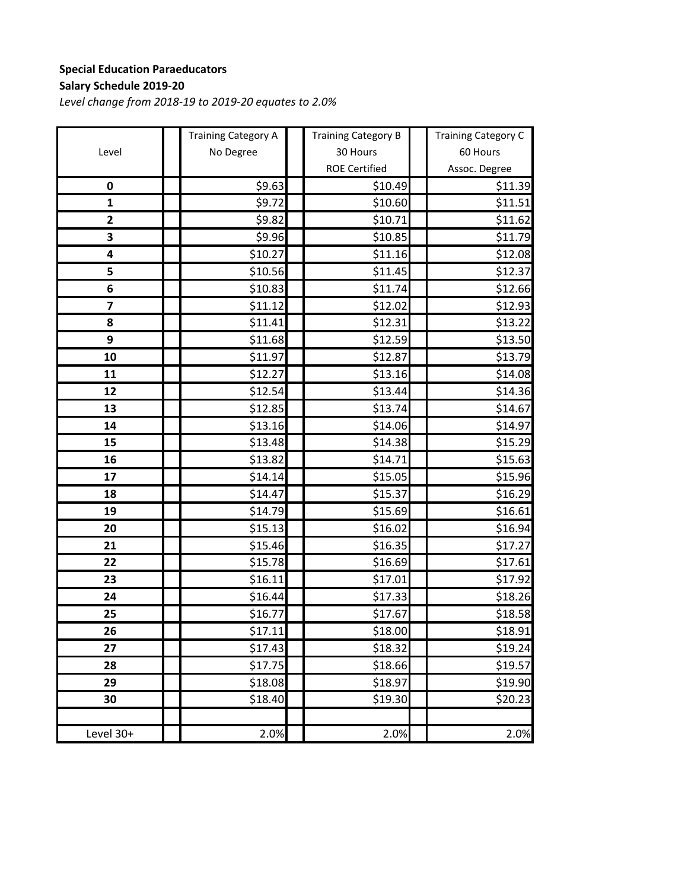### **Special Education Paraeducators Salary Schedule 2019‐20**

|                         | <b>Training Category A</b> | <b>Training Category B</b> | <b>Training Category C</b> |
|-------------------------|----------------------------|----------------------------|----------------------------|
| Level                   | No Degree                  | 30 Hours                   | 60 Hours                   |
|                         |                            | <b>ROE Certified</b>       | Assoc. Degree              |
| $\pmb{0}$               | \$9.63                     | \$10.49                    | \$11.39                    |
| $\mathbf{1}$            | \$9.72                     | \$10.60                    | \$11.51                    |
| $\overline{\mathbf{c}}$ | \$9.82                     | \$10.71                    | \$11.62                    |
| 3                       | \$9.96                     | \$10.85                    | \$11.79                    |
| 4                       | \$10.27                    | \$11.16                    | \$12.08                    |
| 5                       | \$10.56                    | \$11.45                    | \$12.37                    |
| 6                       | \$10.83                    | \$11.74                    | \$12.66                    |
| $\overline{\mathbf{z}}$ | \$11.12                    | \$12.02                    | \$12.93                    |
| 8                       | \$11.41                    | \$12.31                    | \$13.22                    |
| 9                       | \$11.68                    | \$12.59                    | \$13.50                    |
| 10                      | \$11.97                    | \$12.87                    | \$13.79                    |
| 11                      | \$12.27                    | \$13.16                    | \$14.08                    |
| 12                      | \$12.54                    | \$13.44                    | \$14.36                    |
| 13                      | \$12.85                    | \$13.74                    | \$14.67                    |
| 14                      | \$13.16                    | \$14.06                    | \$14.97                    |
| 15                      | \$13.48                    | \$14.38                    | \$15.29                    |
| 16                      | \$13.82                    | \$14.71                    | \$15.63                    |
| 17                      | \$14.14                    | \$15.05                    | \$15.96                    |
| 18                      | \$14.47                    | \$15.37                    | \$16.29                    |
| 19                      | \$14.79                    | \$15.69                    | \$16.61                    |
| 20                      | \$15.13                    | \$16.02                    | \$16.94                    |
| 21                      | \$15.46                    | \$16.35                    | \$17.27                    |
| 22                      | \$15.78                    | \$16.69                    | \$17.61                    |
| 23                      | \$16.11                    | \$17.01                    | \$17.92                    |
| 24                      | \$16.44                    | \$17.33                    | \$18.26                    |
| 25                      | \$16.77                    | \$17.67                    | \$18.58                    |
| 26                      | <b>\$17.11</b>             | \$18.00                    | <b>\$18.91</b>             |
| 27                      | \$17.43                    | \$18.32                    | \$19.24                    |
| 28                      | \$17.75                    | \$18.66                    | \$19.57                    |
| 29                      | \$18.08                    | \$18.97                    | \$19.90                    |
| 30                      | \$18.40                    | \$19.30                    | \$20.23                    |
| Level 30+               | 2.0%                       | 2.0%                       | 2.0%                       |
|                         |                            |                            |                            |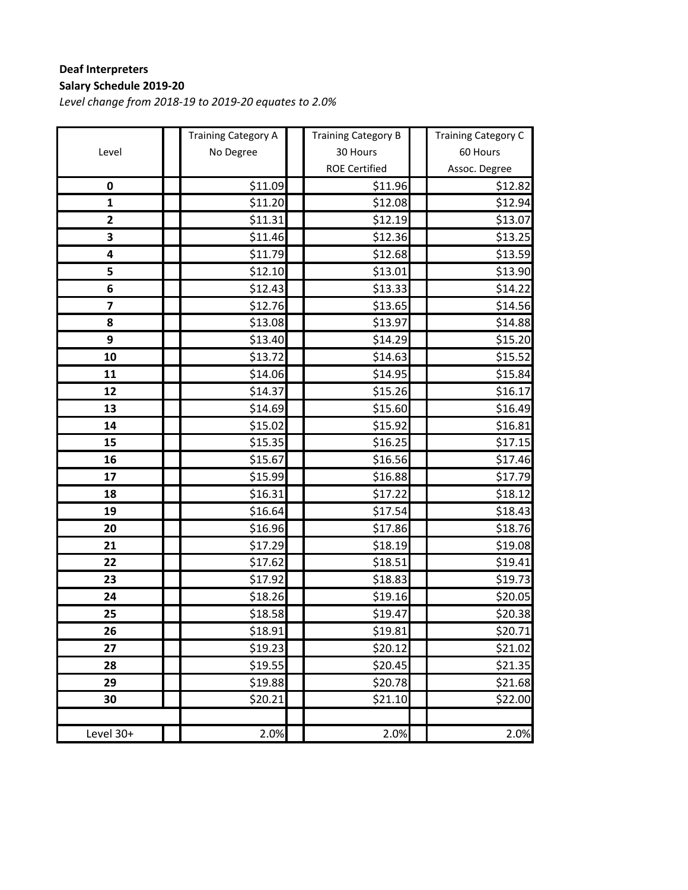### **Deaf Interpreters Salary Schedule 2019‐20**

|              | <b>Training Category A</b> | <b>Training Category B</b> | <b>Training Category C</b> |
|--------------|----------------------------|----------------------------|----------------------------|
| Level        | No Degree                  | 30 Hours                   | 60 Hours                   |
|              |                            | <b>ROE Certified</b>       | Assoc. Degree              |
| 0            | \$11.09                    | \$11.96                    | \$12.82                    |
| $\mathbf{1}$ | \$11.20                    | \$12.08                    | \$12.94                    |
| $\mathbf{2}$ | \$11.31                    | \$12.19                    | \$13.07                    |
| 3            | \$11.46                    | \$12.36                    | \$13.25                    |
| 4            | \$11.79                    | \$12.68                    | \$13.59                    |
| 5            | \$12.10                    | \$13.01                    | \$13.90                    |
| 6            | \$12.43                    | \$13.33                    | \$14.22                    |
| 7            | \$12.76                    | \$13.65                    | \$14.56                    |
| 8            | \$13.08                    | \$13.97                    | \$14.88                    |
| 9            | \$13.40                    | \$14.29                    | \$15.20                    |
| 10           | \$13.72                    | \$14.63                    | \$15.52                    |
| 11           | \$14.06                    | \$14.95                    | \$15.84                    |
| 12           | \$14.37                    | \$15.26                    | \$16.17                    |
| 13           | \$14.69                    | \$15.60                    | \$16.49                    |
| 14           | \$15.02                    | \$15.92                    | \$16.81                    |
| 15           | \$15.35                    | \$16.25                    | \$17.15                    |
| 16           | \$15.67                    | \$16.56                    | \$17.46                    |
| 17           | \$15.99                    | \$16.88                    | \$17.79                    |
| 18           | \$16.31                    | \$17.22                    | \$18.12                    |
| 19           | \$16.64                    | \$17.54                    | \$18.43                    |
| 20           | \$16.96                    | \$17.86                    | \$18.76                    |
| 21           | \$17.29                    | \$18.19                    | \$19.08                    |
| 22           | \$17.62                    | \$18.51                    | \$19.41                    |
| 23           | \$17.92                    | \$18.83                    | \$19.73                    |
| 24           | \$18.26                    | \$19.16                    | \$20.05                    |
| 25           | \$18.58                    | \$19.47                    | \$20.38                    |
| 26           | \$18.91                    | \$19.81                    | \$20.71                    |
| 27           | \$19.23                    | \$20.12                    | \$21.02                    |
| 28           | \$19.55                    | \$20.45                    | \$21.35                    |
| 29           | \$19.88                    | \$20.78                    | \$21.68                    |
| 30           | \$20.21                    | \$21.10                    | \$22.00                    |
| Level 30+    | 2.0%                       | 2.0%                       | 2.0%                       |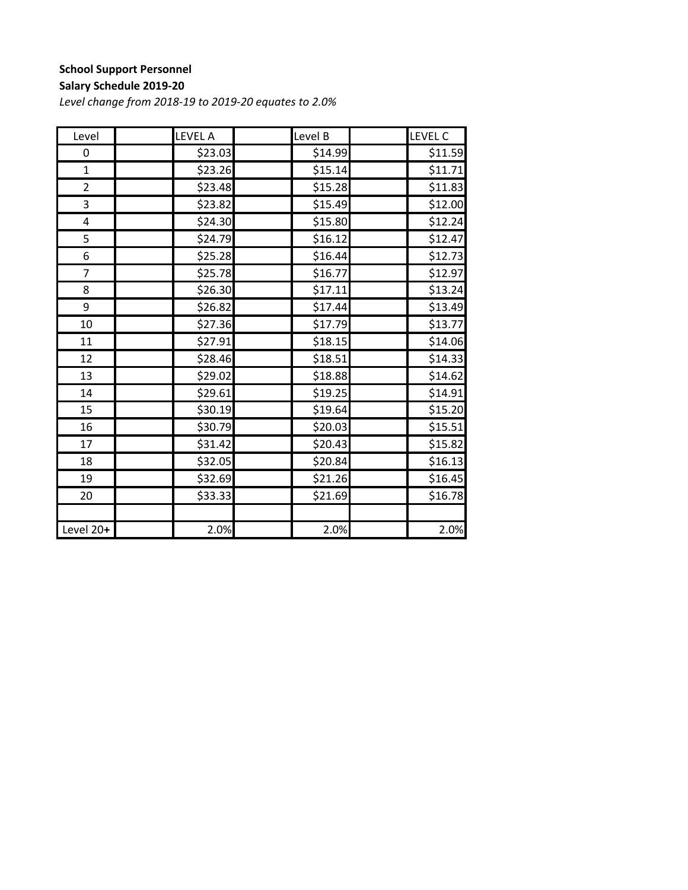## **School Support Personnel**

#### **Salary Schedule 2019‐20**

| Level          | <b>LEVEL A</b> | Level B | LEVEL C             |
|----------------|----------------|---------|---------------------|
| 0              | \$23.03        | \$14.99 | \$11.59             |
| $\mathbf{1}$   | \$23.26        | \$15.14 | \$11.71             |
| $\overline{2}$ | \$23.48        | \$15.28 | \$11.83             |
| 3              | \$23.82        | \$15.49 | \$12.00             |
| 4              | \$24.30        | \$15.80 | \$12.24             |
| 5              | \$24.79        | \$16.12 | \$12.47             |
| 6              | \$25.28        | \$16.44 | \$12.73             |
| $\overline{7}$ | \$25.78        | \$16.77 | \$12.97             |
| 8              | \$26.30        | \$17.11 | \$13.24             |
| 9              | \$26.82        | \$17.44 | \$13.49             |
| 10             | \$27.36        | \$17.79 | \$13.77             |
| 11             | \$27.91        | \$18.15 | \$14.06             |
| 12             | \$28.46        | \$18.51 | \$14.33             |
| 13             | \$29.02        | \$18.88 | \$14.62             |
| 14             | \$29.61        | \$19.25 | \$14.91             |
| 15             | \$30.19        | \$19.64 | \$15.20             |
| 16             | \$30.79        | \$20.03 | \$15.51             |
| 17             | \$31.42        | \$20.43 | \$15.82             |
| 18             | \$32.05        | \$20.84 | \$16.13             |
| 19             | \$32.69        | \$21.26 | $\overline{$}16.45$ |
| 20             | \$33.33        | \$21.69 | \$16.78             |
|                |                |         |                     |
| Level 20+      | 2.0%           | 2.0%    | 2.0%                |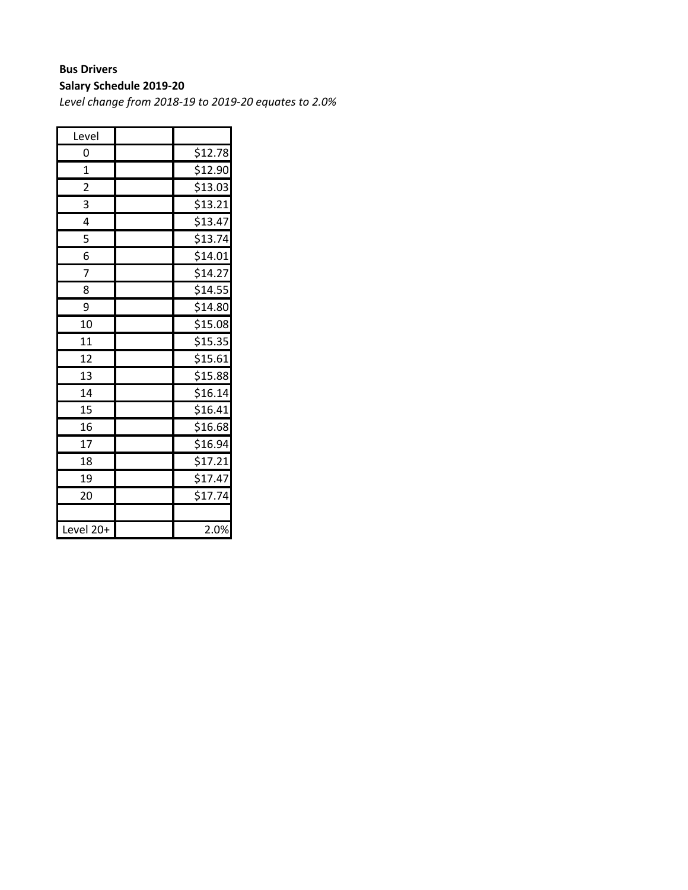# **Bus Drivers**

**Salary Schedule 2019‐20**

| Level                   |         |
|-------------------------|---------|
| 0                       | \$12.78 |
| $\mathbf 1$             | \$12.90 |
| $\overline{\mathbf{c}}$ | \$13.03 |
| 3                       | \$13.21 |
| 4                       | \$13.47 |
| 5                       | \$13.74 |
| 6                       | \$14.01 |
| 7                       | \$14.27 |
| 8                       | \$14.55 |
| 9                       | \$14.80 |
| 10                      | \$15.08 |
| 11                      | \$15.35 |
| 12                      | \$15.61 |
| 13                      | \$15.88 |
| 14                      | \$16.14 |
| 15                      | \$16.41 |
| 16                      | \$16.68 |
| 17                      | \$16.94 |
| 18                      | \$17.21 |
| 19                      | \$17.47 |
| 20                      | \$17.74 |
|                         |         |
| Level 20+               | 2.0%    |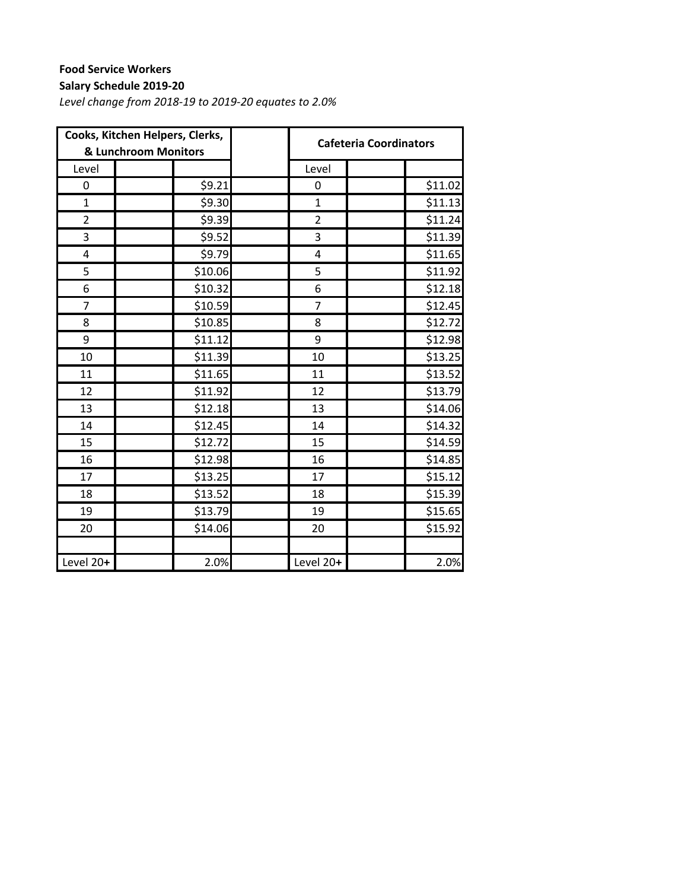## **Food Service Workers**

#### **Salary Schedule 2019‐20**

| Cooks, Kitchen Helpers, Clerks,<br>& Lunchroom Monitors |         |                         | <b>Cafeteria Coordinators</b> |
|---------------------------------------------------------|---------|-------------------------|-------------------------------|
| Level                                                   |         | Level                   |                               |
| 0                                                       | \$9.21  | 0                       | \$11.02                       |
| $\mathbf{1}$                                            | \$9.30  | $\mathbf{1}$            | \$11.13                       |
| $\overline{2}$                                          | \$9.39  | $\overline{2}$          | \$11.24                       |
| 3                                                       | \$9.52  | 3                       | \$11.39                       |
| 4                                                       | \$9.79  | $\overline{\mathbf{4}}$ | \$11.65                       |
| 5                                                       | \$10.06 | 5                       | \$11.92                       |
| 6                                                       | \$10.32 | 6                       | \$12.18                       |
| $\overline{7}$                                          | \$10.59 | 7                       | \$12.45                       |
| 8                                                       | \$10.85 | 8                       | \$12.72                       |
| 9                                                       | \$11.12 | 9                       | \$12.98                       |
| 10                                                      | \$11.39 | 10                      | \$13.25                       |
| 11                                                      | \$11.65 | 11                      | \$13.52                       |
| 12                                                      | \$11.92 | 12                      | \$13.79                       |
| 13                                                      | \$12.18 | 13                      | \$14.06                       |
| 14                                                      | \$12.45 | 14                      | \$14.32                       |
| 15                                                      | \$12.72 | 15                      | \$14.59                       |
| 16                                                      | \$12.98 | 16                      | \$14.85                       |
| 17                                                      | \$13.25 | 17                      | \$15.12                       |
| 18                                                      | \$13.52 | 18                      | \$15.39                       |
| 19                                                      | \$13.79 | 19                      | \$15.65                       |
| 20                                                      | \$14.06 | 20                      | \$15.92                       |
|                                                         |         |                         |                               |
| Level 20+                                               | 2.0%    | Level 20+               | 2.0%                          |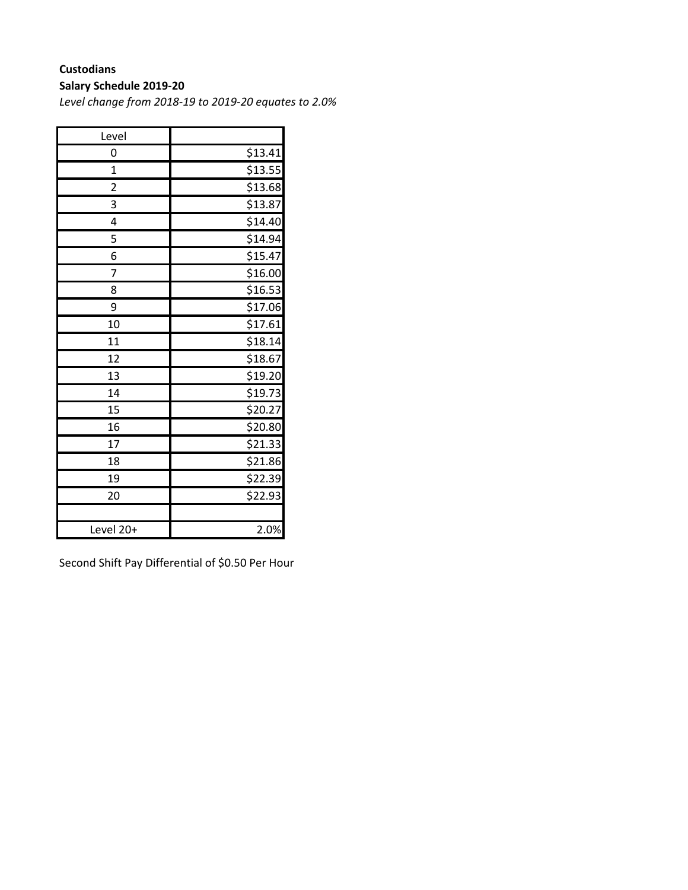#### **Custodians**

#### **Salary Schedule 2019‐20**

*Level change from 2018‐19 to 2019‐20 equates to 2.0%*

| Level                   |                     |
|-------------------------|---------------------|
| 0                       | \$13.41             |
| $\overline{1}$          | \$13.55             |
| $\overline{\mathbf{c}}$ | \$13.68             |
| 3                       | \$13.87             |
| 4                       | \$14.40             |
| 5                       | \$14.94             |
| 6                       | \$15.47             |
| 7                       | \$16.00             |
| 8                       | \$16.53             |
| 9                       | \$17.06             |
| 10                      | \$17.61             |
| 11                      | \$18.14             |
| 12                      | \$18.67             |
| 13                      | \$19.20             |
| 14                      | \$19.73             |
| 15                      | \$20.27             |
| 16                      | $\frac{1}{2}$ 20.80 |
| 17                      | \$21.33             |
| 18                      | \$21.86             |
| 19                      | \$22.39             |
| 20                      | \$22.93             |
|                         |                     |
| Level 20+               | 2.0%                |

Second Shift Pay Differential of \$0.50 Per Hour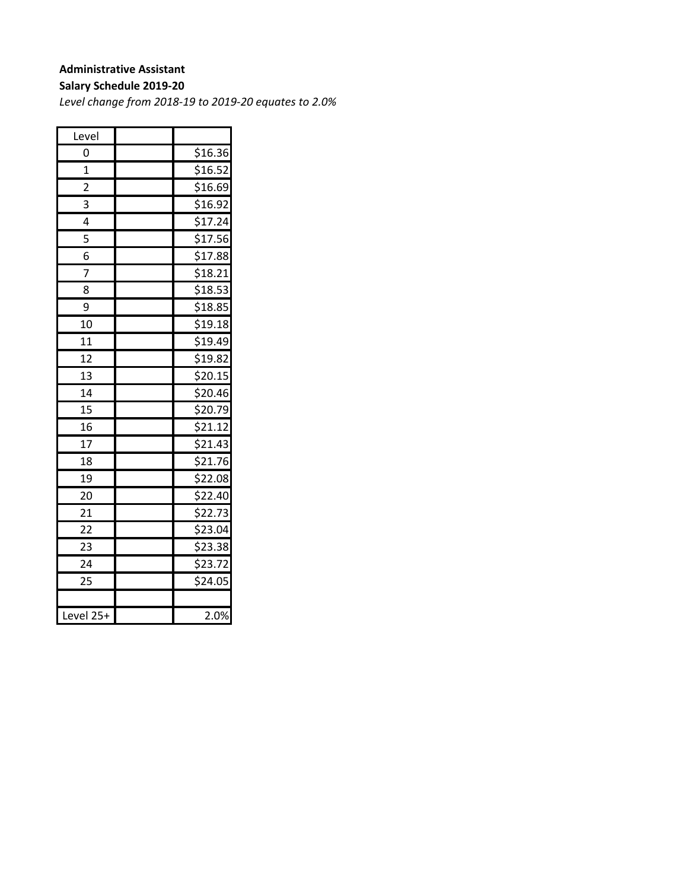#### **Administrative Assistant**

#### **Salary Schedule 2019‐20**

| Level                   |         |
|-------------------------|---------|
| 0                       | \$16.36 |
| 1                       | \$16.52 |
| $\overline{\mathbf{c}}$ | \$16.69 |
| 3                       | \$16.92 |
| 4                       | \$17.24 |
| 5                       | \$17.56 |
| 6                       | \$17.88 |
| 7                       | \$18.21 |
| 8                       | \$18.53 |
| 9                       | \$18.85 |
| 10                      | \$19.18 |
| 11                      | \$19.49 |
| 12                      | \$19.82 |
| 13                      | \$20.15 |
| 14                      | \$20.46 |
| 15                      | \$20.79 |
| 16                      | \$21.12 |
| $\overline{17}$         | \$21.43 |
| 18                      | \$21.76 |
| 19                      | \$22.08 |
| 20                      | \$22.40 |
| 21                      | \$22.73 |
| $\overline{22}$         | \$23.04 |
| 23                      | \$23.38 |
| 24                      | \$23.72 |
| 25                      | \$24.05 |
|                         |         |
| Level 25+               | 2.0%    |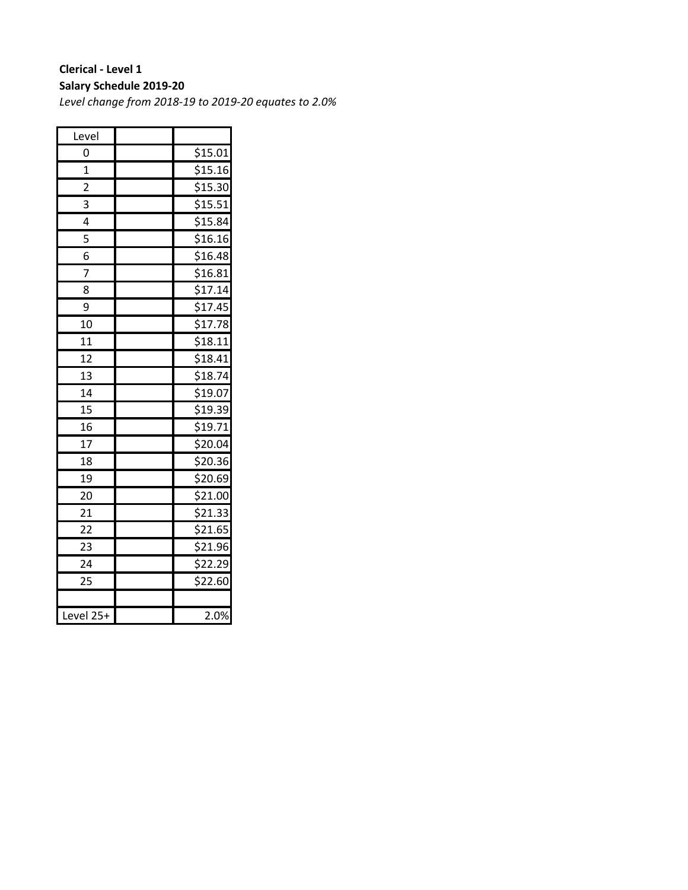#### **Clerical ‐ Level 1 Salary Schedule 2019‐20**

| Level           |         |
|-----------------|---------|
| 0               | \$15.01 |
| $\mathbf{1}$    | \$15.16 |
| $\overline{c}$  | \$15.30 |
| 3               | \$15.51 |
| 4               | \$15.84 |
| 5               | \$16.16 |
| 6               | \$16.48 |
| 7               | \$16.81 |
| 8               | \$17.14 |
| 9               | \$17.45 |
| 10              | \$17.78 |
| 11              | \$18.11 |
| 12              | \$18.41 |
| 13              | \$18.74 |
| 14              | \$19.07 |
| 15              | \$19.39 |
| 16              | \$19.71 |
| $\overline{17}$ | \$20.04 |
| 18              | \$20.36 |
| 19              | \$20.69 |
| 20              | \$21.00 |
| 21              | \$21.33 |
| 22              | \$21.65 |
| 23              | \$21.96 |
| 24              | \$22.29 |
| 25              | \$22.60 |
|                 |         |
| Level 25+       | 2.0%    |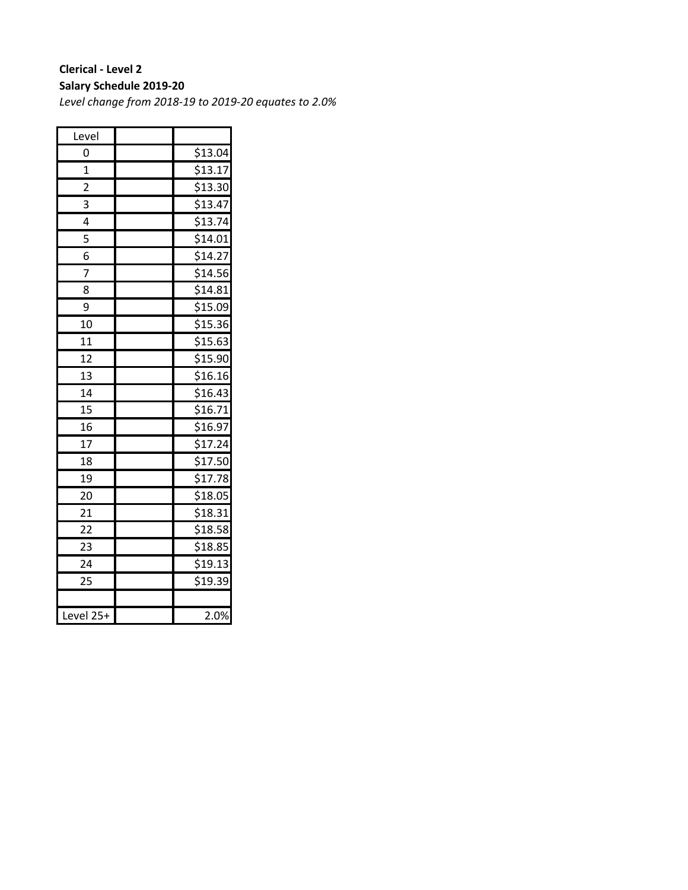#### **Clerical ‐ Level 2 Salary Schedule 2019‐20**

| Level           |         |
|-----------------|---------|
| 0               | \$13.04 |
| 1               | \$13.17 |
| $\overline{2}$  | \$13.30 |
| 3               | \$13.47 |
| 4               | \$13.74 |
| 5               | \$14.01 |
| 6               | \$14.27 |
| 7               | \$14.56 |
| 8               | \$14.81 |
| 9               | \$15.09 |
| 10              | \$15.36 |
| 11              | \$15.63 |
| 12              | \$15.90 |
| 13              | \$16.16 |
| 14              | \$16.43 |
| 15              | \$16.71 |
| 16              | \$16.97 |
| $\overline{17}$ | \$17.24 |
| 18              | \$17.50 |
| 19              | \$17.78 |
| 20              | \$18.05 |
| 21              | \$18.31 |
| $\overline{22}$ | \$18.58 |
| 23              | \$18.85 |
| 24              | \$19.13 |
| 25              | \$19.39 |
|                 |         |
| Level 25+       | 2.0%    |